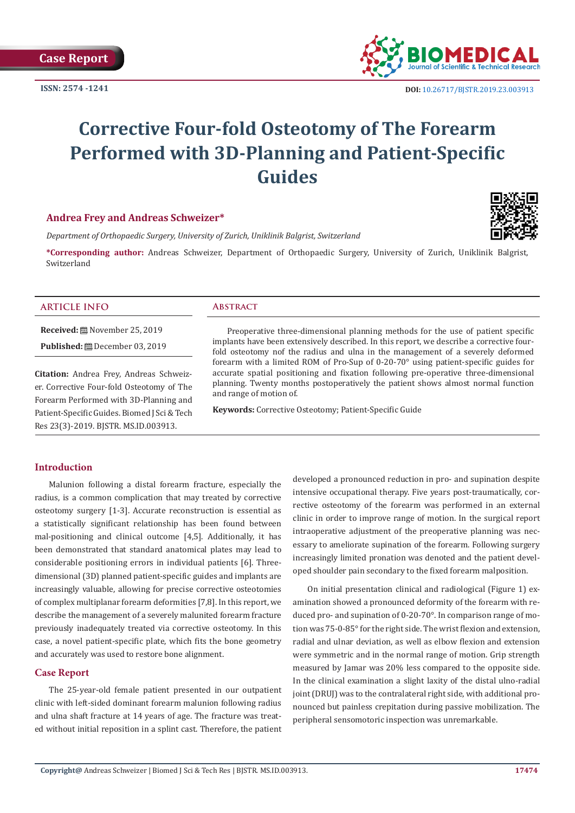

# **Corrective Four-fold Osteotomy of The Forearm Performed with 3D-Planning and Patient-Specific Guides**

# **Andrea Frey and Andreas Schweizer\***

*Department of Orthopaedic Surgery, University of Zurich, Uniklinik Balgrist, Switzerland* 

**\*Corresponding author:** Andreas Schweizer, Department of Orthopaedic Surgery, University of Zurich, Uniklinik Balgrist, Switzerland

### **ARTICLE INFO Abstract**

**Received:** November 25, 2019

**Published:** December 03, 2019

**Citation:** Andrea Frey, Andreas Schweizer. Corrective Four-fold Osteotomy of The Forearm Performed with 3D-Planning and Patient-Specific Guides. Biomed J Sci & Tech Res 23(3)-2019. BJSTR. MS.ID.003913.

Preoperative three-dimensional planning methods for the use of patient specific implants have been extensively described. In this report, we describe a corrective fourfold osteotomy nof the radius and ulna in the management of a severely deformed forearm with a limited ROM of Pro-Sup of 0-20-70° using patient-specific guides for accurate spatial positioning and fixation following pre-operative three-dimensional planning. Twenty months postoperatively the patient shows almost normal function and range of motion of.

**Keywords:** Corrective Osteotomy; Patient-Specific Guide

# **Introduction**

Malunion following a distal forearm fracture, especially the radius, is a common complication that may treated by corrective osteotomy surgery [1-3]. Accurate reconstruction is essential as a statistically significant relationship has been found between mal-positioning and clinical outcome [4,5]. Additionally, it has been demonstrated that standard anatomical plates may lead to considerable positioning errors in individual patients [6]. Threedimensional (3D) planned patient-specific guides and implants are increasingly valuable, allowing for precise corrective osteotomies of complex multiplanar forearm deformities [7,8]. In this report, we describe the management of a severely malunited forearm fracture previously inadequately treated via corrective osteotomy. In this case, a novel patient-specific plate, which fits the bone geometry and accurately was used to restore bone alignment.

# **Case Report**

The 25-year-old female patient presented in our outpatient clinic with left-sided dominant forearm malunion following radius and ulna shaft fracture at 14 years of age. The fracture was treated without initial reposition in a splint cast. Therefore, the patient developed a pronounced reduction in pro- and supination despite intensive occupational therapy. Five years post-traumatically, corrective osteotomy of the forearm was performed in an external clinic in order to improve range of motion. In the surgical report intraoperative adjustment of the preoperative planning was necessary to ameliorate supination of the forearm. Following surgery increasingly limited pronation was denoted and the patient developed shoulder pain secondary to the fixed forearm malposition.

On initial presentation clinical and radiological (Figure 1) examination showed a pronounced deformity of the forearm with reduced pro- and supination of 0-20-70°. In comparison range of motion was 75-0-85° for the right side. The wrist flexion and extension, radial and ulnar deviation, as well as elbow flexion and extension were symmetric and in the normal range of motion. Grip strength measured by Jamar was 20% less compared to the opposite side. In the clinical examination a slight laxity of the distal ulno-radial joint (DRUI) was to the contralateral right side, with additional pronounced but painless crepitation during passive mobilization. The peripheral sensomotoric inspection was unremarkable.

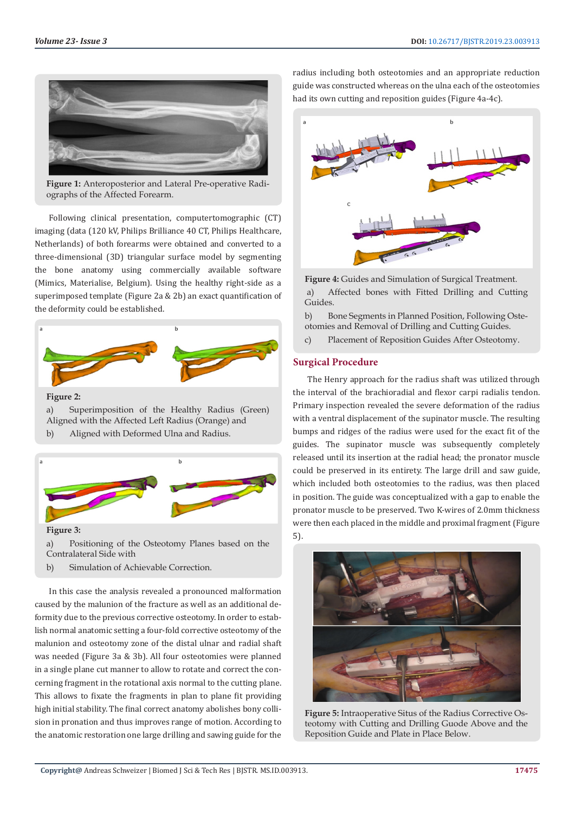

**Figure 1:** Anteroposterior and Lateral Pre-operative Radiographs of the Affected Forearm.

Following clinical presentation, computertomographic (CT) imaging (data (120 kV, Philips Brilliance 40 CT, Philips Healthcare, Netherlands) of both forearms were obtained and converted to a three-dimensional (3D) triangular surface model by segmenting the bone anatomy using commercially available software (Mimics, Materialise, Belgium). Using the healthy right-side as a superimposed template (Figure 2a & 2b) an exact quantification of the deformity could be established.



**Figure 2:** 

a) Superimposition of the Healthy Radius (Green) Aligned with the Affected Left Radius (Orange) and b) Aligned with Deformed Ulna and Radius.



**Figure 3:** 

a) Positioning of the Osteotomy Planes based on the Contralateral Side with

b) Simulation of Achievable Correction.

In this case the analysis revealed a pronounced malformation caused by the malunion of the fracture as well as an additional deformity due to the previous corrective osteotomy. In order to establish normal anatomic setting a four-fold corrective osteotomy of the malunion and osteotomy zone of the distal ulnar and radial shaft was needed (Figure 3a & 3b). All four osteotomies were planned in a single plane cut manner to allow to rotate and correct the concerning fragment in the rotational axis normal to the cutting plane. This allows to fixate the fragments in plan to plane fit providing high initial stability. The final correct anatomy abolishes bony collision in pronation and thus improves range of motion. According to the anatomic restoration one large drilling and sawing guide for the

radius including both osteotomies and an appropriate reduction guide was constructed whereas on the ulna each of the osteotomies had its own cutting and reposition guides (Figure 4a-4c).



**Figure 4:** Guides and Simulation of Surgical Treatment. a) Affected bones with Fitted Drilling and Cutting Guides.

b) Bone Segments in Planned Position, Following Osteotomies and Removal of Drilling and Cutting Guides.

c) Placement of Reposition Guides After Osteotomy.

# **Surgical Procedure**

The Henry approach for the radius shaft was utilized through the interval of the brachioradial and flexor carpi radialis tendon. Primary inspection revealed the severe deformation of the radius with a ventral displacement of the supinator muscle. The resulting bumps and ridges of the radius were used for the exact fit of the guides. The supinator muscle was subsequently completely released until its insertion at the radial head; the pronator muscle could be preserved in its entirety. The large drill and saw guide, which included both osteotomies to the radius, was then placed in position. The guide was conceptualized with a gap to enable the pronator muscle to be preserved. Two K-wires of 2.0mm thickness were then each placed in the middle and proximal fragment (Figure 5).



**Figure 5:** Intraoperative Situs of the Radius Corrective Osteotomy with Cutting and Drilling Guode Above and the Reposition Guide and Plate in Place Below.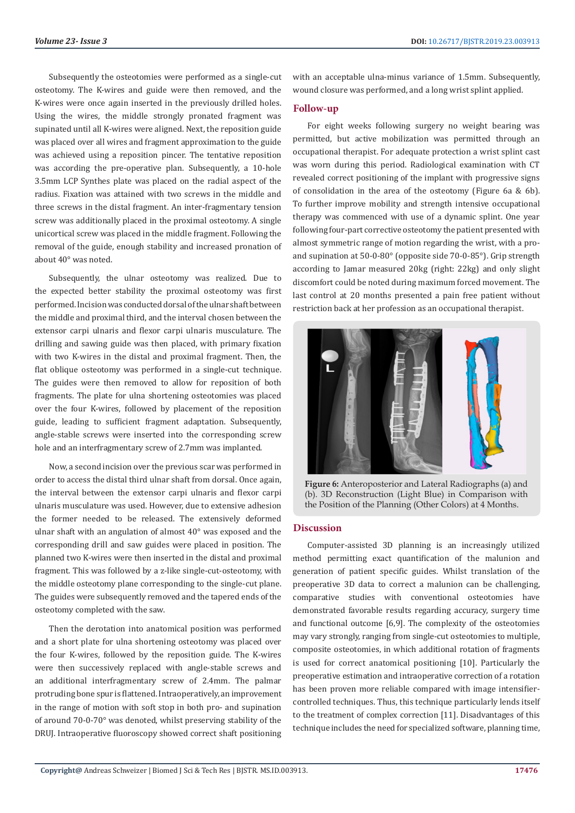Subsequently the osteotomies were performed as a single-cut osteotomy. The K-wires and guide were then removed, and the K-wires were once again inserted in the previously drilled holes. Using the wires, the middle strongly pronated fragment was supinated until all K-wires were aligned. Next, the reposition guide was placed over all wires and fragment approximation to the guide was achieved using a reposition pincer. The tentative reposition was according the pre-operative plan. Subsequently, a 10-hole 3.5mm LCP Synthes plate was placed on the radial aspect of the radius. Fixation was attained with two screws in the middle and three screws in the distal fragment. An inter-fragmentary tension screw was additionally placed in the proximal osteotomy. A single unicortical screw was placed in the middle fragment. Following the removal of the guide, enough stability and increased pronation of about 40° was noted.

Subsequently, the ulnar osteotomy was realized. Due to the expected better stability the proximal osteotomy was first performed. Incision was conducted dorsal of the ulnar shaft between the middle and proximal third, and the interval chosen between the extensor carpi ulnaris and flexor carpi ulnaris musculature. The drilling and sawing guide was then placed, with primary fixation with two K-wires in the distal and proximal fragment. Then, the flat oblique osteotomy was performed in a single-cut technique. The guides were then removed to allow for reposition of both fragments. The plate for ulna shortening osteotomies was placed over the four K-wires, followed by placement of the reposition guide, leading to sufficient fragment adaptation. Subsequently, angle-stable screws were inserted into the corresponding screw hole and an interfragmentary screw of 2.7mm was implanted.

Now, a second incision over the previous scar was performed in order to access the distal third ulnar shaft from dorsal. Once again, the interval between the extensor carpi ulnaris and flexor carpi ulnaris musculature was used. However, due to extensive adhesion the former needed to be released. The extensively deformed ulnar shaft with an angulation of almost 40° was exposed and the corresponding drill and saw guides were placed in position. The planned two K-wires were then inserted in the distal and proximal fragment. This was followed by a z-like single-cut-osteotomy, with the middle osteotomy plane corresponding to the single-cut plane. The guides were subsequently removed and the tapered ends of the osteotomy completed with the saw.

Then the derotation into anatomical position was performed and a short plate for ulna shortening osteotomy was placed over the four K-wires, followed by the reposition guide. The K-wires were then successively replaced with angle-stable screws and an additional interfragmentary screw of 2.4mm. The palmar protruding bone spur is flattened. Intraoperatively, an improvement in the range of motion with soft stop in both pro- and supination of around 70-0-70° was denoted, whilst preserving stability of the DRUJ. Intraoperative fluoroscopy showed correct shaft positioning with an acceptable ulna-minus variance of 1.5mm. Subsequently, wound closure was performed, and a long wrist splint applied.

#### **Follow-up**

For eight weeks following surgery no weight bearing was permitted, but active mobilization was permitted through an occupational therapist. For adequate protection a wrist splint cast was worn during this period. Radiological examination with CT revealed correct positioning of the implant with progressive signs of consolidation in the area of the osteotomy (Figure 6a & 6b). To further improve mobility and strength intensive occupational therapy was commenced with use of a dynamic splint. One year following four-part corrective osteotomy the patient presented with almost symmetric range of motion regarding the wrist, with a proand supination at 50-0-80° (opposite side 70-0-85°). Grip strength according to Jamar measured 20kg (right: 22kg) and only slight discomfort could be noted during maximum forced movement. The last control at 20 months presented a pain free patient without restriction back at her profession as an occupational therapist.



**Figure 6:** Anteroposterior and Lateral Radiographs (a) and (b). 3D Reconstruction (Light Blue) in Comparison with the Position of the Planning (Other Colors) at 4 Months.

#### **Discussion**

Computer-assisted 3D planning is an increasingly utilized method permitting exact quantification of the malunion and generation of patient specific guides. Whilst translation of the preoperative 3D data to correct a malunion can be challenging, comparative studies with conventional osteotomies have demonstrated favorable results regarding accuracy, surgery time and functional outcome [6,9]. The complexity of the osteotomies may vary strongly, ranging from single-cut osteotomies to multiple, composite osteotomies, in which additional rotation of fragments is used for correct anatomical positioning [10]. Particularly the preoperative estimation and intraoperative correction of a rotation has been proven more reliable compared with image intensifiercontrolled techniques. Thus, this technique particularly lends itself to the treatment of complex correction [11]. Disadvantages of this technique includes the need for specialized software, planning time,